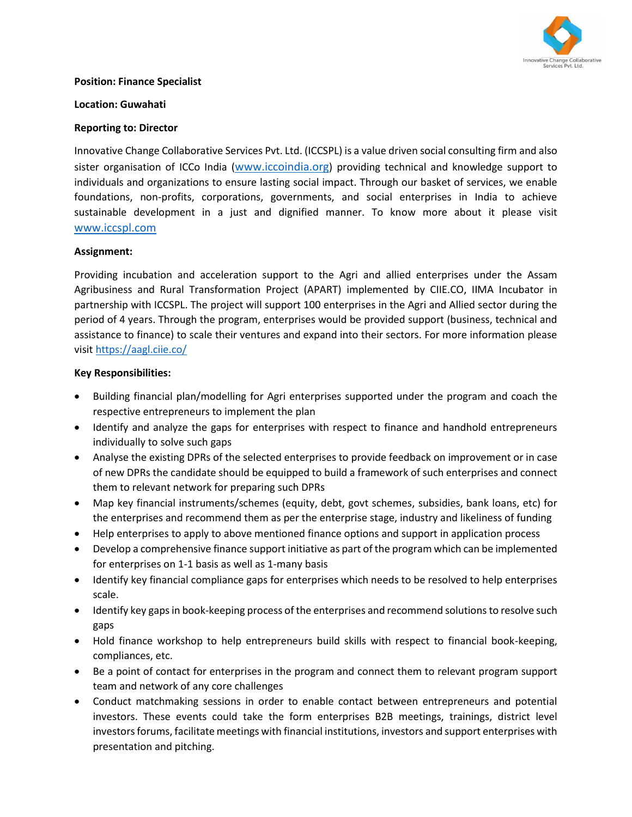

#### **Position: Finance Specialist**

#### **Location: Guwahati**

## **Reporting to: Director**

Innovative Change Collaborative Services Pvt. Ltd. (ICCSPL) is a value driven social consulting firm and also sister organisation of ICCo India ([www.iccoindia.org](http://www.iccoindia.org/)) providing technical and knowledge support to individuals and organizations to ensure lasting social impact. Through our basket of services, we enable foundations, non-profits, corporations, governments, and social enterprises in India to achieve sustainable development in a just and dignified manner. To know more about it please visit [www.iccspl.com](http://www.iccspl.com/)

#### **Assignment:**

Providing incubation and acceleration support to the Agri and allied enterprises under the Assam Agribusiness and Rural Transformation Project (APART) implemented by CIIE.CO, IIMA Incubator in partnership with ICCSPL. The project will support 100 enterprises in the Agri and Allied sector during the period of 4 years. Through the program, enterprises would be provided support (business, technical and assistance to finance) to scale their ventures and expand into their sectors. For more information please visi[t https://aagl.ciie.co/](https://aagl.ciie.co/)

#### **Key Responsibilities:**

- Building financial plan/modelling for Agri enterprises supported under the program and coach the respective entrepreneurs to implement the plan
- Identify and analyze the gaps for enterprises with respect to finance and handhold entrepreneurs individually to solve such gaps
- Analyse the existing DPRs of the selected enterprises to provide feedback on improvement or in case of new DPRs the candidate should be equipped to build a framework of such enterprises and connect them to relevant network for preparing such DPRs
- Map key financial instruments/schemes (equity, debt, govt schemes, subsidies, bank loans, etc) for the enterprises and recommend them as per the enterprise stage, industry and likeliness of funding
- Help enterprises to apply to above mentioned finance options and support in application process
- Develop a comprehensive finance support initiative as part of the program which can be implemented for enterprises on 1-1 basis as well as 1-many basis
- Identify key financial compliance gaps for enterprises which needs to be resolved to help enterprises scale.
- Identify key gaps in book-keeping process of the enterprises and recommend solutions to resolve such gaps
- Hold finance workshop to help entrepreneurs build skills with respect to financial book-keeping, compliances, etc.
- Be a point of contact for enterprises in the program and connect them to relevant program support team and network of any core challenges
- Conduct matchmaking sessions in order to enable contact between entrepreneurs and potential investors. These events could take the form enterprises B2B meetings, trainings, district level investors forums, facilitate meetings with financial institutions, investors and support enterprises with presentation and pitching.